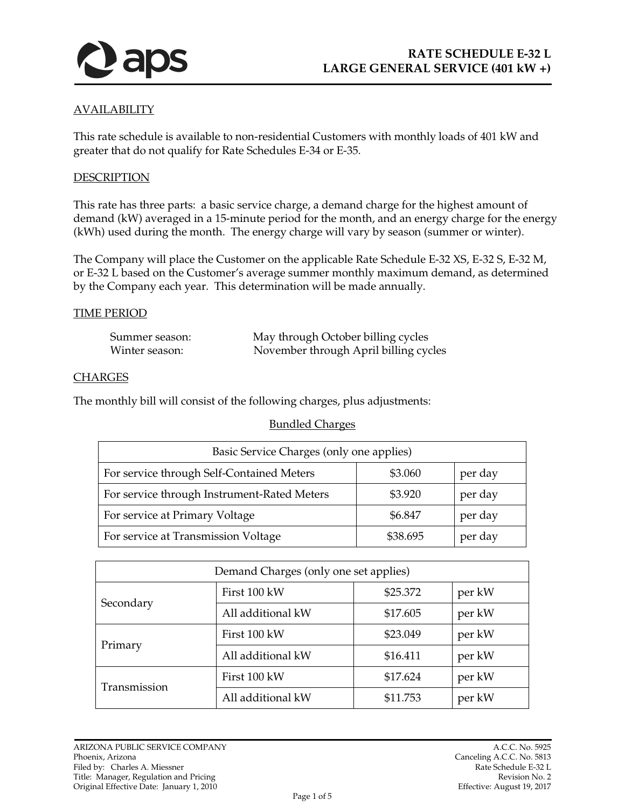

## AVAILABILITY

This rate schedule is available to non-residential Customers with monthly loads of 401 kW and greater that do not qualify for Rate Schedules E-34 or E-35.

#### DESCRIPTION

This rate has three parts: a basic service charge, a demand charge for the highest amount of demand (kW) averaged in a 15-minute period for the month, and an energy charge for the energy (kWh) used during the month. The energy charge will vary by season (summer or winter).

The Company will place the Customer on the applicable Rate Schedule E-32 XS, E-32 S, E-32 M, or E-32 L based on the Customer's average summer monthly maximum demand, as determined by the Company each year. This determination will be made annually.

#### TIME PERIOD

| Summer season: | May through October billing cycles    |
|----------------|---------------------------------------|
| Winter season: | November through April billing cycles |

#### **CHARGES**

The monthly bill will consist of the following charges, plus adjustments:

#### Bundled Charges

| Basic Service Charges (only one applies)    |          |         |
|---------------------------------------------|----------|---------|
| For service through Self-Contained Meters   | \$3.060  | per day |
| For service through Instrument-Rated Meters | \$3.920  | per day |
| For service at Primary Voltage              | \$6.847  | per day |
| For service at Transmission Voltage         | \$38.695 | per day |

| Demand Charges (only one set applies) |                   |          |        |
|---------------------------------------|-------------------|----------|--------|
| Secondary                             | First 100 kW      | \$25.372 | per kW |
|                                       | All additional kW | \$17.605 | per kW |
| Primary                               | First 100 kW      | \$23.049 | per kW |
|                                       | All additional kW | \$16.411 | per kW |
| Transmission                          | First 100 kW      | \$17.624 | per kW |
|                                       | All additional kW | \$11.753 | per kW |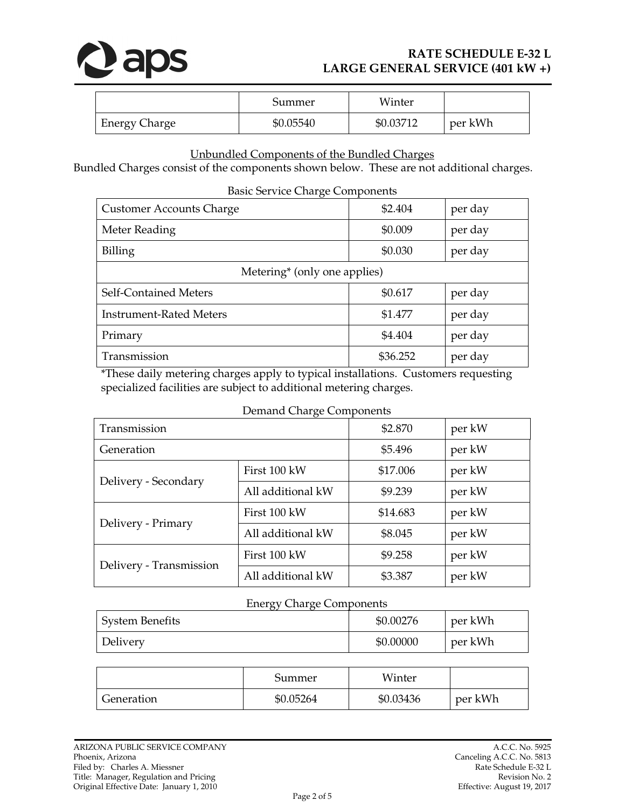

# **RATE SCHEDULE E-32 L LARGE GENERAL SERVICE (401 kW +)**

|                      | Summer    | Winter    |         |
|----------------------|-----------|-----------|---------|
| <b>Energy Charge</b> | \$0.05540 | \$0.03712 | per kWh |

### Unbundled Components of the Bundled Charges

Bundled Charges consist of the components shown below. These are not additional charges.

| <b>Basic Service Charge Components</b>   |          |         |  |
|------------------------------------------|----------|---------|--|
| <b>Customer Accounts Charge</b>          | \$2.404  | per day |  |
| Meter Reading                            | \$0.009  | per day |  |
| Billing                                  | \$0.030  | per day |  |
| Metering <sup>*</sup> (only one applies) |          |         |  |
| Self-Contained Meters                    | \$0.617  | per day |  |
| <b>Instrument-Rated Meters</b>           | \$1.477  | per day |  |
| Primary                                  | \$4.404  | per day |  |
| Transmission                             | \$36.252 | per day |  |

\*These daily metering charges apply to typical installations. Customers requesting specialized facilities are subject to additional metering charges.

| Demand Charge Components |                   |          |        |
|--------------------------|-------------------|----------|--------|
| Transmission             |                   | \$2.870  | per kW |
| Generation               |                   | \$5.496  | per kW |
| Delivery - Secondary     | First 100 kW      | \$17.006 | per kW |
|                          | All additional kW | \$9.239  | per kW |
| Delivery - Primary       | First 100 kW      | \$14.683 | per kW |
|                          | All additional kW | \$8.045  | per kW |
| Delivery - Transmission  | First 100 kW      | \$9.258  | per kW |
|                          | All additional kW | \$3.387  | per kW |

### Energy Charge Components

| .                      |           |         |
|------------------------|-----------|---------|
| <b>System Benefits</b> | \$0.00276 | per kWh |
| Delivery               | \$0.00000 | per kWh |

|            | Summer    | Winter    |         |
|------------|-----------|-----------|---------|
| Generation | \$0.05264 | \$0.03436 | per kWh |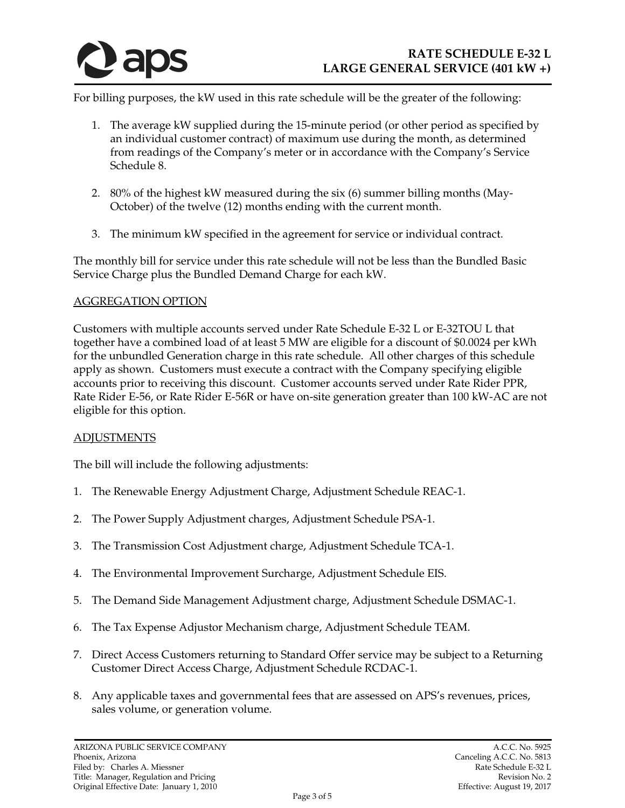

For billing purposes, the kW used in this rate schedule will be the greater of the following:

- 1. The average kW supplied during the 15-minute period (or other period as specified by an individual customer contract) of maximum use during the month, as determined from readings of the Company's meter or in accordance with the Company's Service Schedule 8.
- 2. 80% of the highest kW measured during the six (6) summer billing months (May-October) of the twelve (12) months ending with the current month.
- 3. The minimum kW specified in the agreement for service or individual contract.

The monthly bill for service under this rate schedule will not be less than the Bundled Basic Service Charge plus the Bundled Demand Charge for each kW.

### AGGREGATION OPTION

Customers with multiple accounts served under Rate Schedule E-32 L or E-32TOU L that together have a combined load of at least 5 MW are eligible for a discount of \$0.0024 per kWh for the unbundled Generation charge in this rate schedule. All other charges of this schedule apply as shown. Customers must execute a contract with the Company specifying eligible accounts prior to receiving this discount. Customer accounts served under Rate Rider PPR, Rate Rider E-56, or Rate Rider E-56R or have on-site generation greater than 100 kW-AC are not eligible for this option.

### **ADJUSTMENTS**

The bill will include the following adjustments:

- 1. The Renewable Energy Adjustment Charge, Adjustment Schedule REAC-1.
- 2. The Power Supply Adjustment charges, Adjustment Schedule PSA-1.
- 3. The Transmission Cost Adjustment charge, Adjustment Schedule TCA-1.
- 4. The Environmental Improvement Surcharge, Adjustment Schedule EIS.
- 5. The Demand Side Management Adjustment charge, Adjustment Schedule DSMAC-1.
- 6. The Tax Expense Adjustor Mechanism charge, Adjustment Schedule TEAM.
- 7. Direct Access Customers returning to Standard Offer service may be subject to a Returning Customer Direct Access Charge, Adjustment Schedule RCDAC-1.
- 8. Any applicable taxes and governmental fees that are assessed on APS's revenues, prices, sales volume, or generation volume.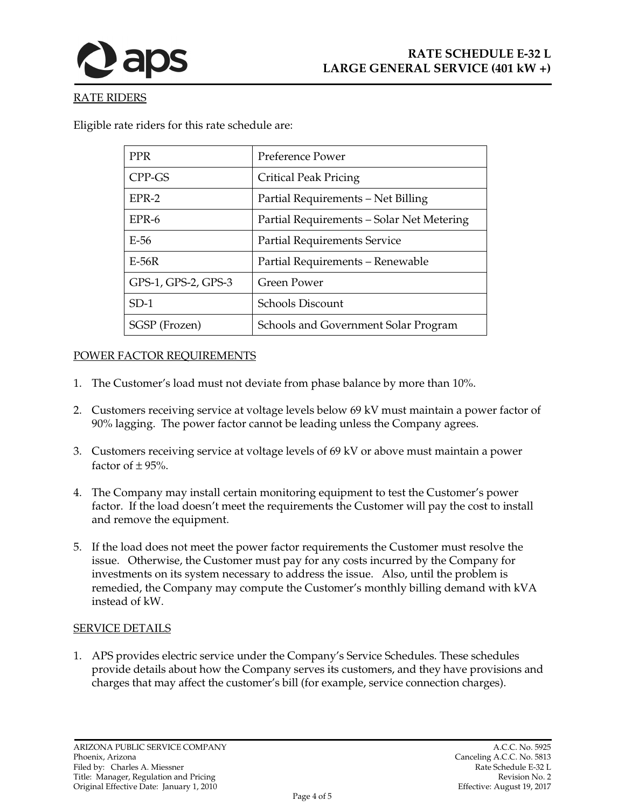



## RATE RIDERS

Eligible rate riders for this rate schedule are:

| <b>PPR</b>          | Preference Power                          |
|---------------------|-------------------------------------------|
| CPP-GS              | Critical Peak Pricing                     |
| $EPR-2$             | Partial Requirements - Net Billing        |
| EPR-6               | Partial Requirements - Solar Net Metering |
| $E-56$              | <b>Partial Requirements Service</b>       |
| $E-56R$             | Partial Requirements - Renewable          |
| GPS-1, GPS-2, GPS-3 | Green Power                               |
| $SD-1$              | Schools Discount                          |
| SGSP (Frozen)       | Schools and Government Solar Program      |

### POWER FACTOR REQUIREMENTS

- 1. The Customer's load must not deviate from phase balance by more than 10%.
- 2. Customers receiving service at voltage levels below 69 kV must maintain a power factor of 90% lagging. The power factor cannot be leading unless the Company agrees.
- 3. Customers receiving service at voltage levels of 69 kV or above must maintain a power factor of  $\pm$  95%.
- 4. The Company may install certain monitoring equipment to test the Customer's power factor. If the load doesn't meet the requirements the Customer will pay the cost to install and remove the equipment.
- 5. If the load does not meet the power factor requirements the Customer must resolve the issue. Otherwise, the Customer must pay for any costs incurred by the Company for investments on its system necessary to address the issue. Also, until the problem is remedied, the Company may compute the Customer's monthly billing demand with kVA instead of kW.

### SERVICE DETAILS

1. APS provides electric service under the Company's Service Schedules. These schedules provide details about how the Company serves its customers, and they have provisions and charges that may affect the customer's bill (for example, service connection charges).